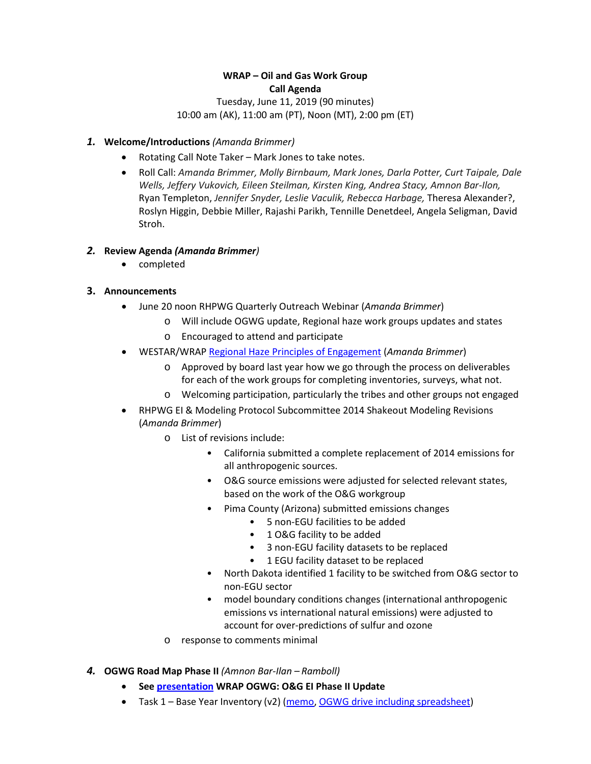# **WRAP – Oil and Gas Work Group Call Agenda**

## Tuesday, June 11, 2019 (90 minutes) 10:00 am (AK), 11:00 am (PT), Noon (MT), 2:00 pm (ET)

#### *1.* **Welcome/Introductions** *(Amanda Brimmer)*

- Rotating Call Note Taker Mark Jones to take notes.
- Roll Call: *Amanda Brimmer, Molly Birnbaum, Mark Jones, Darla Potter, Curt Taipale, Dale Wells, Jeffery Vukovich, Eileen Steilman, Kirsten King, Andrea Stacy, Amnon Bar-Ilon,*  Ryan Templeton, *Jennifer Snyder, Leslie Vaculik, Rebecca Harbage,* Theresa Alexander?, Roslyn Higgin, Debbie Miller, Rajashi Parikh, Tennille Denetdeel, Angela Seligman, David Stroh.

## *2.* **Review Agenda** *(Amanda Brimmer)*

• completed

## **3. Announcements**

- June 20 noon RHPWG Quarterly Outreach Webinar (*Amanda Brimmer*)
	- o Will include OGWG update, Regional haze work groups updates and states
	- o Encouraged to attend and participate
- WESTAR/WRAP [Regional Haze Principles of Engagement](https://www.wrapair2.org/pdf/RH%20principles%20ofengagement_WRAP_Board_final_adopted_April4_2018.pdf) (*Amanda Brimmer*)
	- o Approved by board last year how we go through the process on deliverables for each of the work groups for completing inventories, surveys, what not.
	- o Welcoming participation, particularly the tribes and other groups not engaged
- RHPWG EI & Modeling Protocol Subcommittee 2014 Shakeout Modeling Revisions (*Amanda Brimmer*)
	- o List of revisions include:
		- California submitted a complete replacement of 2014 emissions for all anthropogenic sources.
		- O&G source emissions were adjusted for selected relevant states, based on the work of the O&G workgroup
		- Pima County (Arizona) submitted emissions changes
			- 5 non-EGU facilities to be added
			- 1 O&G facility to be added
			- 3 non-EGU facility datasets to be replaced
			- 1 EGU facility dataset to be replaced
		- North Dakota identified 1 facility to be switched from O&G sector to non-EGU sector
		- model boundary conditions changes (international anthropogenic emissions vs international natural emissions) were adjusted to account for over-predictions of sulfur and ozone
	- o response to comments minimal
- *4.* **OGWG Road Map Phase II** *(Amnon Bar-Ilan – Ramboll)*
	- **Se[e presentation](https://www.wrapair2.org/pdf/Item%204_WRAP%20OGWG%20OGEI_status_11Jun2019.pdf) WRAP OGWG: O&G EI Phase II Update**
	- Task 1 Base Year Inventory (v2) [\(memo,](https://www.wrapair2.org/pdf/Item%204a_WRAP_OGWG_Report_Baseyear_11Jun2019.pdf) [OGWG drive including spreadsheet\)](https://ramboll-my.sharepoint.com/personal/jgrant_ramboll_com/Documents/Forms/All.aspx?cid=41098448-9977-4262-b1fd-ee5d076e7e07&RootFolder=%2Fpersonal%2Fjgrant_ramboll_com%2FDocuments%2FWRAP_OGWG%2FbaselineEI&FolderCTID=0x01200001E0EE536BC306419628BFA5322317EC)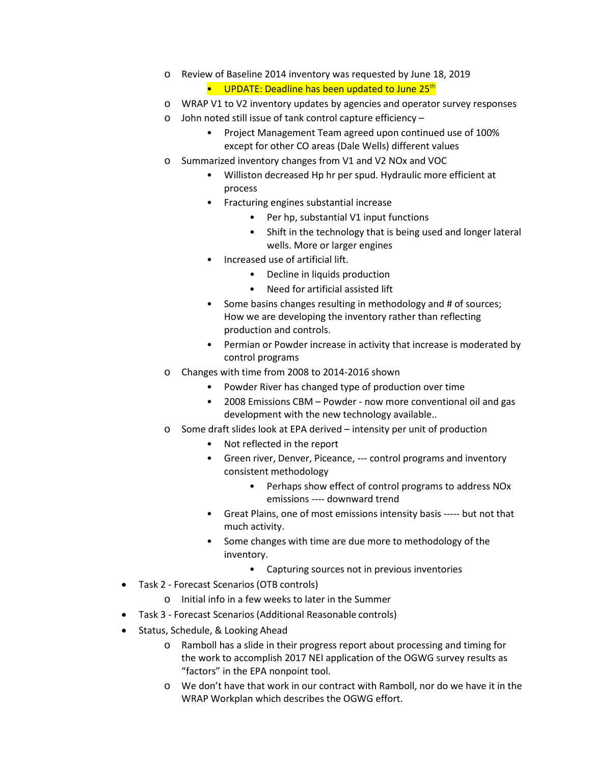- o Review of Baseline 2014 inventory was requested by June 18, 2019
	- UPDATE: Deadline has been updated to June 25<sup>th</sup>
- o WRAP V1 to V2 inventory updates by agencies and operator survey responses
- o John noted still issue of tank control capture efficiency
	- Project Management Team agreed upon continued use of 100% except for other CO areas (Dale Wells) different values
- o Summarized inventory changes from V1 and V2 NOx and VOC
	- Williston decreased Hp hr per spud. Hydraulic more efficient at process
	- Fracturing engines substantial increase
		- Per hp, substantial V1 input functions
		- Shift in the technology that is being used and longer lateral wells. More or larger engines
	- Increased use of artificial lift.
		- Decline in liquids production
		- Need for artificial assisted lift
	- Some basins changes resulting in methodology and # of sources; How we are developing the inventory rather than reflecting production and controls.
	- Permian or Powder increase in activity that increase is moderated by control programs
- o Changes with time from 2008 to 2014-2016 shown
	- Powder River has changed type of production over time
	- 2008 Emissions CBM Powder now more conventional oil and gas development with the new technology available..
- o Some draft slides look at EPA derived intensity per unit of production
	- Not reflected in the report
	- Green river, Denver, Piceance, --- control programs and inventory consistent methodology
		- Perhaps show effect of control programs to address NOx emissions ---- downward trend
	- Great Plains, one of most emissions intensity basis ----- but not that much activity.
	- Some changes with time are due more to methodology of the inventory.
		- Capturing sources not in previous inventories
- Task 2 Forecast Scenarios (OTB controls)
	- o Initial info in a few weeks to later in the Summer
- Task 3 Forecast Scenarios (Additional Reasonable controls)
- Status, Schedule, & Looking Ahead
	- o Ramboll has a slide in their progress report about processing and timing for the work to accomplish 2017 NEI application of the OGWG survey results as "factors" in the EPA nonpoint tool.
	- o We don't have that work in our contract with Ramboll, nor do we have it in the WRAP Workplan which describes the OGWG effort.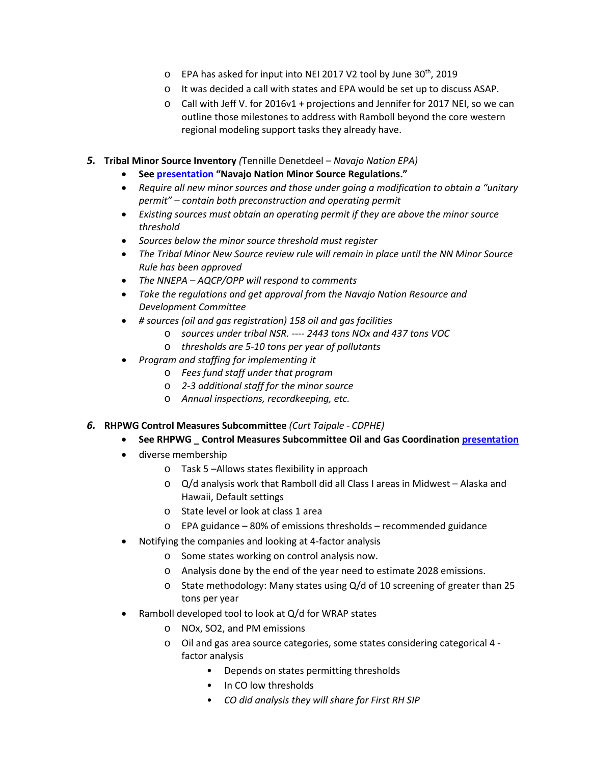- o EPA has asked for input into NEI 2017 V2 tool by June 30<sup>th</sup>, 2019
- o It was decided a call with states and EPA would be set up to discuss ASAP.
- $\circ$  Call with Jeff V. for 2016v1 + projections and Jennifer for 2017 NEI, so we can outline those milestones to address with Ramboll beyond the core western regional modeling support tasks they already have.
- *5.* **Tribal Minor Source Inventory** *(*Tennille Denetdeel *– Navajo Nation EPA)*
	- **Se[e presentation](https://www.wrapair2.org/pdf/Item%205_Navajo%20Nation%20Minor%20Source%20Regulations.WRAP.6.11.19_red.pptx) "Navajo Nation Minor Source Regulations."**
	- *Require all new minor sources and those under going a modification to obtain a "unitary permit" – contain both preconstruction and operating permit*
	- *Existing sources must obtain an operating permit if they are above the minor source threshold*
	- *Sources below the minor source threshold must register*
	- *The Tribal Minor New Source review rule will remain in place until the NN Minor Source Rule has been approved*
	- *The NNEPA – AQCP/OPP will respond to comments*
	- *Take the regulations and get approval from the Navajo Nation Resource and Development Committee*
	- *# sources (oil and gas registration) 158 oil and gas facilities*
		- o *sources under tribal NSR. ---- 2443 tons NOx and 437 tons VOC*
		- o *thresholds are 5-10 tons per year of pollutants*
	- *Program and staffing for implementing it*
		- o *Fees fund staff under that program*
		- o *2-3 additional staff for the minor source*
		- o *Annual inspections, recordkeeping, etc.*

#### *6.* **RHPWG Control Measures Subcommittee** *(Curt Taipale - CDPHE)*

#### • **See RHPWG \_ Control Measures Subcommittee Oil and Gas Coordination [presentation](https://www.wrapair2.org/pdf/Item%206_RHPWG%20%E2%80%93%20Control%20Measures%20Subcommittee-update%20to%20OGWG-10JUN2019.pptx)**

- diverse membership
	- o Task 5 –Allows states flexibility in approach
	- o Q/d analysis work that Ramboll did all Class I areas in Midwest Alaska and Hawaii, Default settings
	- o State level or look at class 1 area
	- o EPA guidance 80% of emissions thresholds recommended guidance
- Notifying the companies and looking at 4-factor analysis
	- o Some states working on control analysis now.
	- o Analysis done by the end of the year need to estimate 2028 emissions.
	- o State methodology: Many states using Q/d of 10 screening of greater than 25 tons per year
- Ramboll developed tool to look at Q/d for WRAP states
	- o NOx, SO2, and PM emissions
	- o Oil and gas area source categories, some states considering categorical 4 factor analysis
		- Depends on states permitting thresholds
		- In CO low thresholds
		- *CO did analysis they will share for First RH SIP*